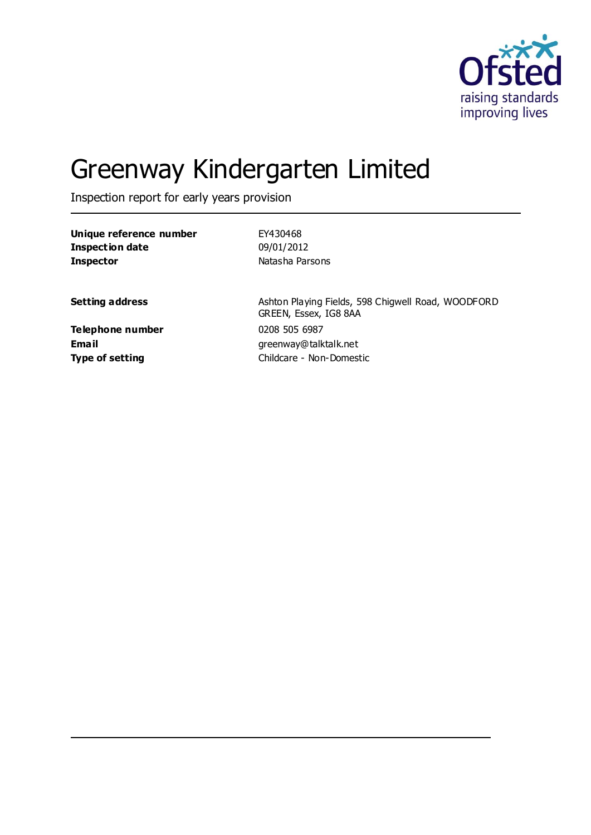

# Greenway Kindergarten Limited

Inspection report for early years provision

| Unique reference number | EY430468                                                                    |
|-------------------------|-----------------------------------------------------------------------------|
| Inspection date         | 09/01/2012                                                                  |
| <b>Inspector</b>        | Natasha Parsons                                                             |
| <b>Setting address</b>  | Ashton Playing Fields, 598 Chigwell Road, WOODFORD<br>GREEN, Essex, IG8 8AA |
| Telephone number        | 0208 505 6987                                                               |
| Email                   | greenway@talktalk.net                                                       |
| <b>Type of setting</b>  | Childcare - Non-Domestic                                                    |
|                         |                                                                             |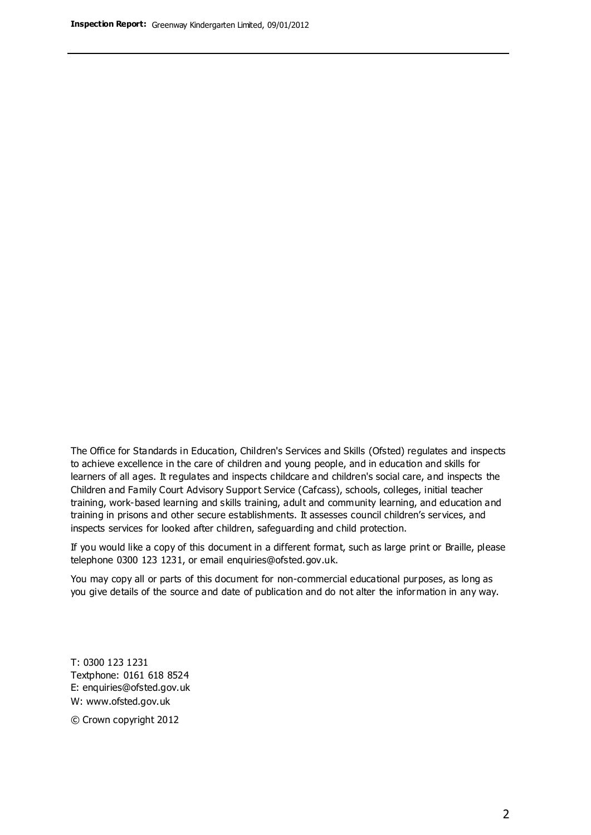The Office for Standards in Education, Children's Services and Skills (Ofsted) regulates and inspects to achieve excellence in the care of children and young people, and in education and skills for learners of all ages. It regulates and inspects childcare and children's social care, and inspects the Children and Family Court Advisory Support Service (Cafcass), schools, colleges, initial teacher training, work-based learning and skills training, adult and community learning, and education and training in prisons and other secure establishments. It assesses council children's services, and inspects services for looked after children, safeguarding and child protection.

If you would like a copy of this document in a different format, such as large print or Braille, please telephone 0300 123 1231, or email enquiries@ofsted.gov.uk.

You may copy all or parts of this document for non-commercial educational purposes, as long as you give details of the source and date of publication and do not alter the information in any way.

T: 0300 123 1231 Textphone: 0161 618 8524 E: enquiries@ofsted.gov.uk W: [www.ofsted.gov.uk](http://www.ofsted.gov.uk/)

© Crown copyright 2012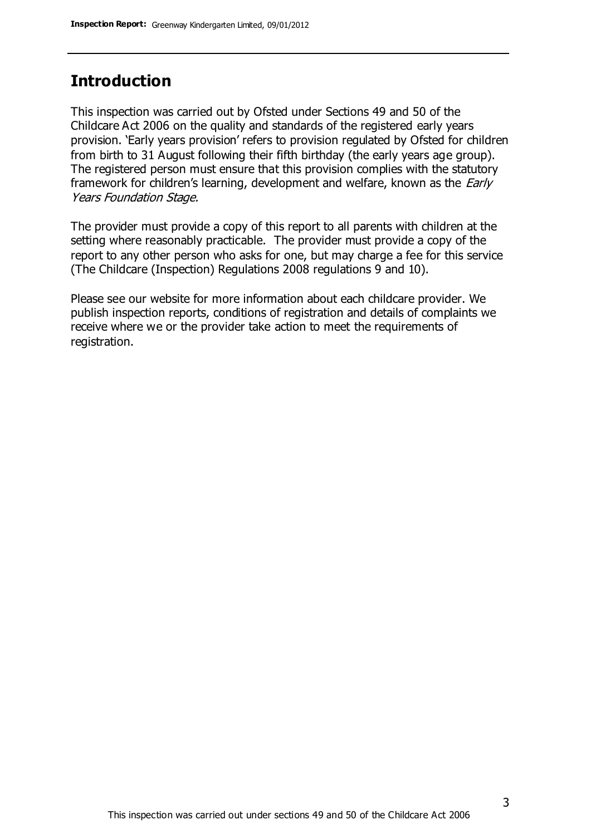## **Introduction**

This inspection was carried out by Ofsted under Sections 49 and 50 of the Childcare Act 2006 on the quality and standards of the registered early years provision. 'Early years provision' refers to provision regulated by Ofsted for children from birth to 31 August following their fifth birthday (the early years age group). The registered person must ensure that this provision complies with the statutory framework for children's learning, development and welfare, known as the *Early* Years Foundation Stage.

The provider must provide a copy of this report to all parents with children at the setting where reasonably practicable. The provider must provide a copy of the report to any other person who asks for one, but may charge a fee for this service (The Childcare (Inspection) Regulations 2008 regulations 9 and 10).

Please see our website for more information about each childcare provider. We publish inspection reports, conditions of registration and details of complaints we receive where we or the provider take action to meet the requirements of registration.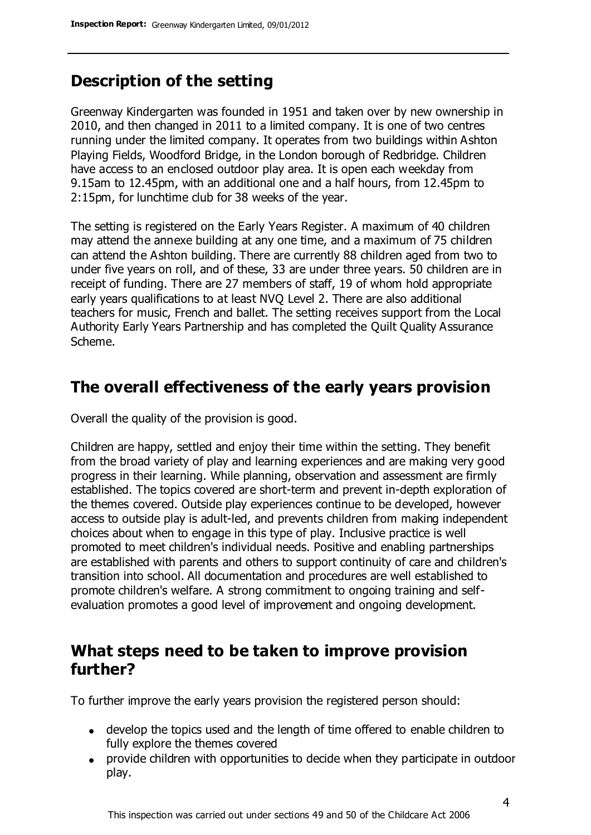# **Description of the setting**

Greenway Kindergarten was founded in 1951 and taken over by new ownership in 2010, and then changed in 2011 to a limited company. It is one of two centres running under the limited company. It operates from two buildings within Ashton Playing Fields, Woodford Bridge, in the London borough of Redbridge. Children have access to an enclosed outdoor play area. It is open each weekday from 9.15am to 12.45pm, with an additional one and a half hours, from 12.45pm to 2:15pm, for lunchtime club for 38 weeks of the year.

The setting is registered on the Early Years Register. A maximum of 40 children may attend the annexe building at any one time, and a maximum of 75 children can attend the Ashton building. There are currently 88 children aged from two to under five years on roll, and of these, 33 are under three years. 50 children are in receipt of funding. There are 27 members of staff, 19 of whom hold appropriate early years qualifications to at least NVQ Level 2. There are also additional teachers for music, French and ballet. The setting receives support from the Local Authority Early Years Partnership and has completed the Quilt Quality Assurance Scheme.

## **The overall effectiveness of the early years provision**

Overall the quality of the provision is good.

Children are happy, settled and enjoy their time within the setting. They benefit from the broad variety of play and learning experiences and are making very good progress in their learning. While planning, observation and assessment are firmly established. The topics covered are short-term and prevent in-depth exploration of the themes covered. Outside play experiences continue to be developed, however access to outside play is adult-led, and prevents children from making independent choices about when to engage in this type of play. Inclusive practice is well promoted to meet children's individual needs. Positive and enabling partnerships are established with parents and others to support continuity of care and children's transition into school. All documentation and procedures are well established to promote children's welfare. A strong commitment to ongoing training and selfevaluation promotes a good level of improvement and ongoing development.

## **What steps need to be taken to improve provision further?**

To further improve the early years provision the registered person should:

- develop the topics used and the length of time offered to enable children to fully explore the themes covered
- provide children with opportunities to decide when they participate in outdoor play.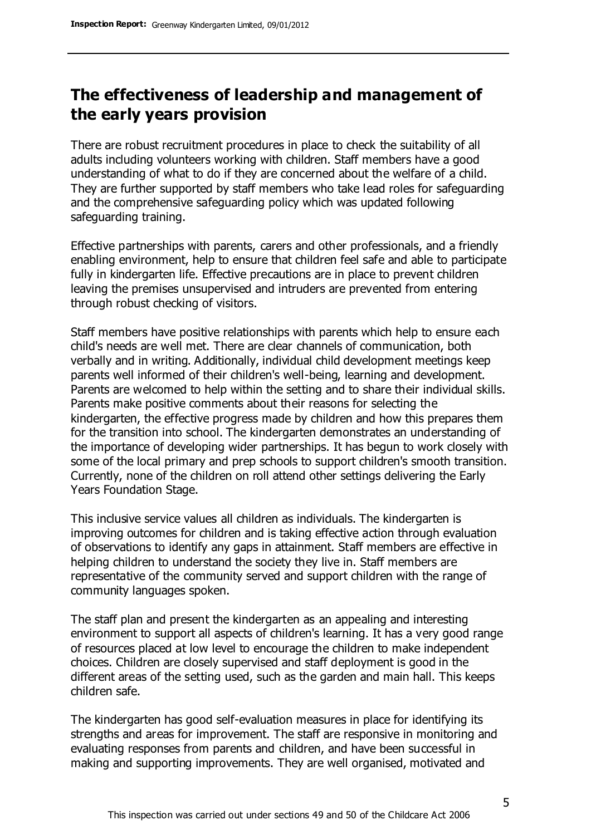# **The effectiveness of leadership and management of the early years provision**

There are robust recruitment procedures in place to check the suitability of all adults including volunteers working with children. Staff members have a good understanding of what to do if they are concerned about the welfare of a child. They are further supported by staff members who take lead roles for safeguarding and the comprehensive safeguarding policy which was updated following safeguarding training.

Effective partnerships with parents, carers and other professionals, and a friendly enabling environment, help to ensure that children feel safe and able to participate fully in kindergarten life. Effective precautions are in place to prevent children leaving the premises unsupervised and intruders are prevented from entering through robust checking of visitors.

Staff members have positive relationships with parents which help to ensure each child's needs are well met. There are clear channels of communication, both verbally and in writing. Additionally, individual child development meetings keep parents well informed of their children's well-being, learning and development. Parents are welcomed to help within the setting and to share their individual skills. Parents make positive comments about their reasons for selecting the kindergarten, the effective progress made by children and how this prepares them for the transition into school. The kindergarten demonstrates an understanding of the importance of developing wider partnerships. It has begun to work closely with some of the local primary and prep schools to support children's smooth transition. Currently, none of the children on roll attend other settings delivering the Early Years Foundation Stage.

This inclusive service values all children as individuals. The kindergarten is improving outcomes for children and is taking effective action through evaluation of observations to identify any gaps in attainment. Staff members are effective in helping children to understand the society they live in. Staff members are representative of the community served and support children with the range of community languages spoken.

The staff plan and present the kindergarten as an appealing and interesting environment to support all aspects of children's learning. It has a very good range of resources placed at low level to encourage the children to make independent choices. Children are closely supervised and staff deployment is good in the different areas of the setting used, such as the garden and main hall. This keeps children safe.

The kindergarten has good self-evaluation measures in place for identifying its strengths and areas for improvement. The staff are responsive in monitoring and evaluating responses from parents and children, and have been successful in making and supporting improvements. They are well organised, motivated and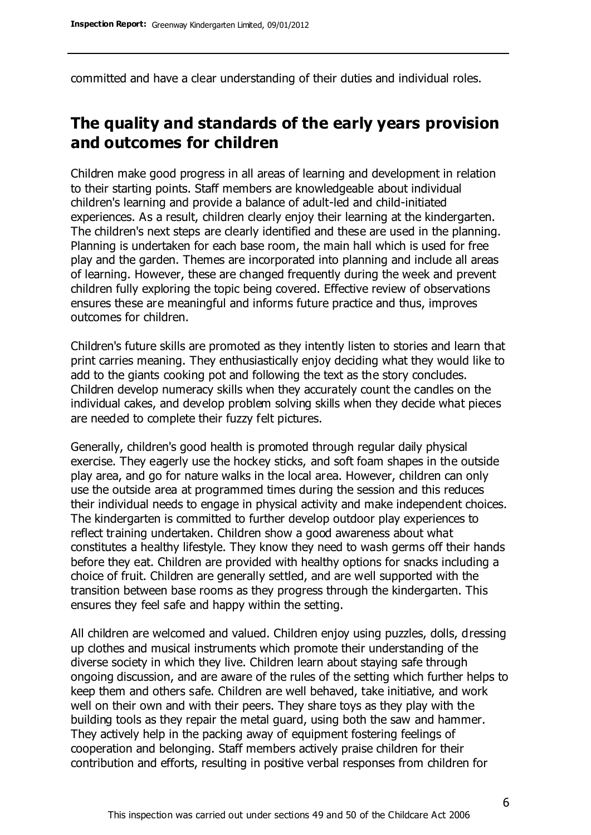committed and have a clear understanding of their duties and individual roles.

# **The quality and standards of the early years provision and outcomes for children**

Children make good progress in all areas of learning and development in relation to their starting points. Staff members are knowledgeable about individual children's learning and provide a balance of adult-led and child-initiated experiences. As a result, children clearly enjoy their learning at the kindergarten. The children's next steps are clearly identified and these are used in the planning. Planning is undertaken for each base room, the main hall which is used for free play and the garden. Themes are incorporated into planning and include all areas of learning. However, these are changed frequently during the week and prevent children fully exploring the topic being covered. Effective review of observations ensures these are meaningful and informs future practice and thus, improves outcomes for children.

Children's future skills are promoted as they intently listen to stories and learn that print carries meaning. They enthusiastically enjoy deciding what they would like to add to the giants cooking pot and following the text as the story concludes. Children develop numeracy skills when they accurately count the candles on the individual cakes, and develop problem solving skills when they decide what pieces are needed to complete their fuzzy felt pictures.

Generally, children's good health is promoted through regular daily physical exercise. They eagerly use the hockey sticks, and soft foam shapes in the outside play area, and go for nature walks in the local area. However, children can only use the outside area at programmed times during the session and this reduces their individual needs to engage in physical activity and make independent choices. The kindergarten is committed to further develop outdoor play experiences to reflect training undertaken. Children show a good awareness about what constitutes a healthy lifestyle. They know they need to wash germs off their hands before they eat. Children are provided with healthy options for snacks including a choice of fruit. Children are generally settled, and are well supported with the transition between base rooms as they progress through the kindergarten. This ensures they feel safe and happy within the setting.

All children are welcomed and valued. Children enjoy using puzzles, dolls, dressing up clothes and musical instruments which promote their understanding of the diverse society in which they live. Children learn about staying safe through ongoing discussion, and are aware of the rules of the setting which further helps to keep them and others safe. Children are well behaved, take initiative, and work well on their own and with their peers. They share toys as they play with the building tools as they repair the metal guard, using both the saw and hammer. They actively help in the packing away of equipment fostering feelings of cooperation and belonging. Staff members actively praise children for their contribution and efforts, resulting in positive verbal responses from children for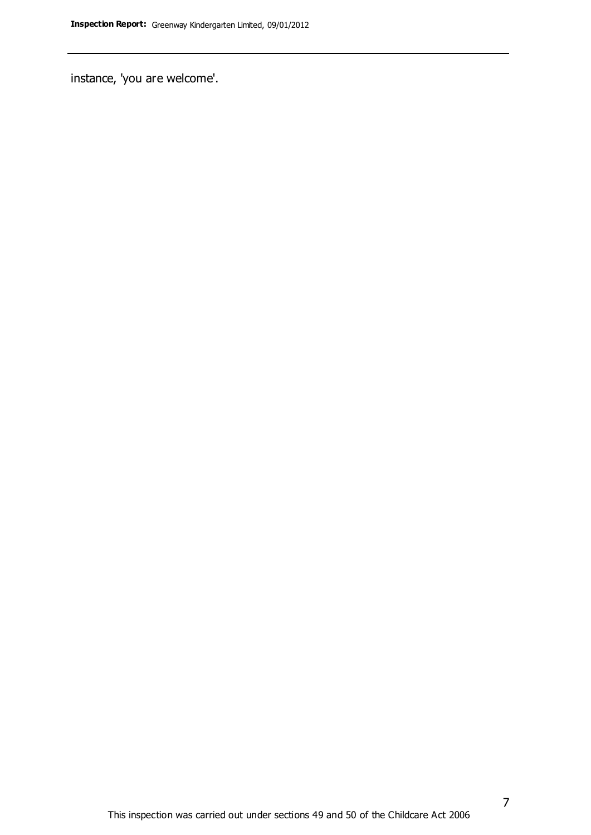instance, 'you are welcome'.